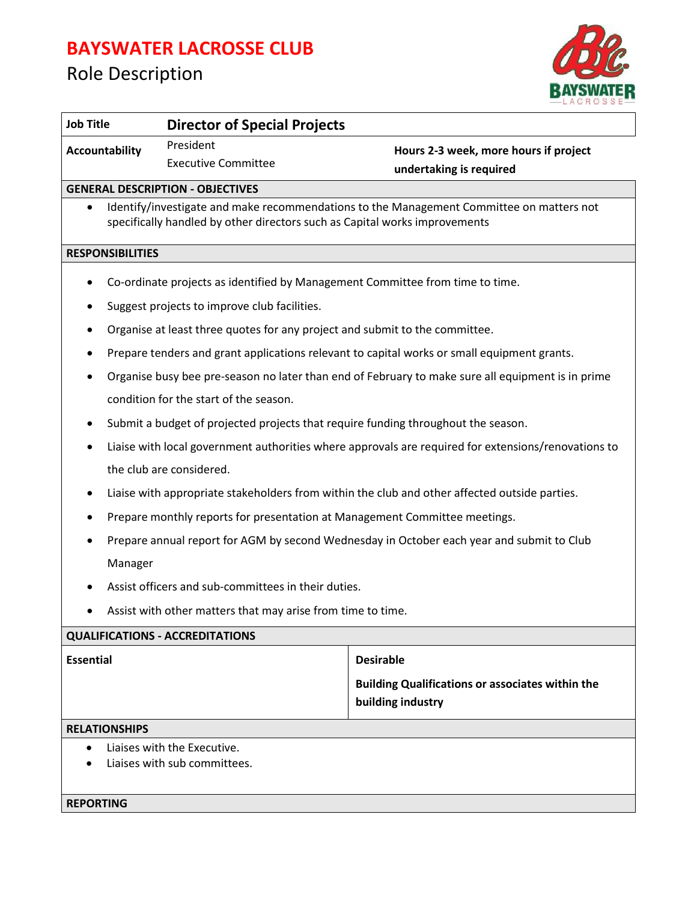## **BAYSWATER LACROSSE CLUB**

## Role Description



| <b>Job Title</b><br><b>Director of Special Projects</b>                                           |                                                                                                     |
|---------------------------------------------------------------------------------------------------|-----------------------------------------------------------------------------------------------------|
| President<br><b>Accountability</b>                                                                | Hours 2-3 week, more hours if project<br>undertaking is required                                    |
| <b>Executive Committee</b>                                                                        |                                                                                                     |
| <b>GENERAL DESCRIPTION - OBJECTIVES</b>                                                           |                                                                                                     |
| $\bullet$<br>specifically handled by other directors such as Capital works improvements           | Identify/investigate and make recommendations to the Management Committee on matters not            |
| <b>RESPONSIBILITIES</b>                                                                           |                                                                                                     |
| Co-ordinate projects as identified by Management Committee from time to time.                     |                                                                                                     |
| Suggest projects to improve club facilities.                                                      |                                                                                                     |
| Organise at least three quotes for any project and submit to the committee.<br>٠                  |                                                                                                     |
| Prepare tenders and grant applications relevant to capital works or small equipment grants.       |                                                                                                     |
| Organise busy bee pre-season no later than end of February to make sure all equipment is in prime |                                                                                                     |
| condition for the start of the season.                                                            |                                                                                                     |
| Submit a budget of projected projects that require funding throughout the season.<br>٠            |                                                                                                     |
|                                                                                                   | Liaise with local government authorities where approvals are required for extensions/renovations to |
| the club are considered.                                                                          |                                                                                                     |
| Liaise with appropriate stakeholders from within the club and other affected outside parties.     |                                                                                                     |
| Prepare monthly reports for presentation at Management Committee meetings.                        |                                                                                                     |
| Prepare annual report for AGM by second Wednesday in October each year and submit to Club         |                                                                                                     |
| Manager                                                                                           |                                                                                                     |
| Assist officers and sub-committees in their duties.                                               |                                                                                                     |
| Assist with other matters that may arise from time to time.                                       |                                                                                                     |
| <b>QUALIFICATIONS - ACCREDITATIONS</b>                                                            |                                                                                                     |
| <b>Essential</b>                                                                                  | <b>Desirable</b>                                                                                    |
|                                                                                                   | <b>Building Qualifications or associates within the</b>                                             |
|                                                                                                   | building industry                                                                                   |
| <b>RELATIONSHIPS</b>                                                                              |                                                                                                     |
| Liaises with the Executive.                                                                       |                                                                                                     |
| Liaises with sub committees.                                                                      |                                                                                                     |
| <b>REPORTING</b>                                                                                  |                                                                                                     |